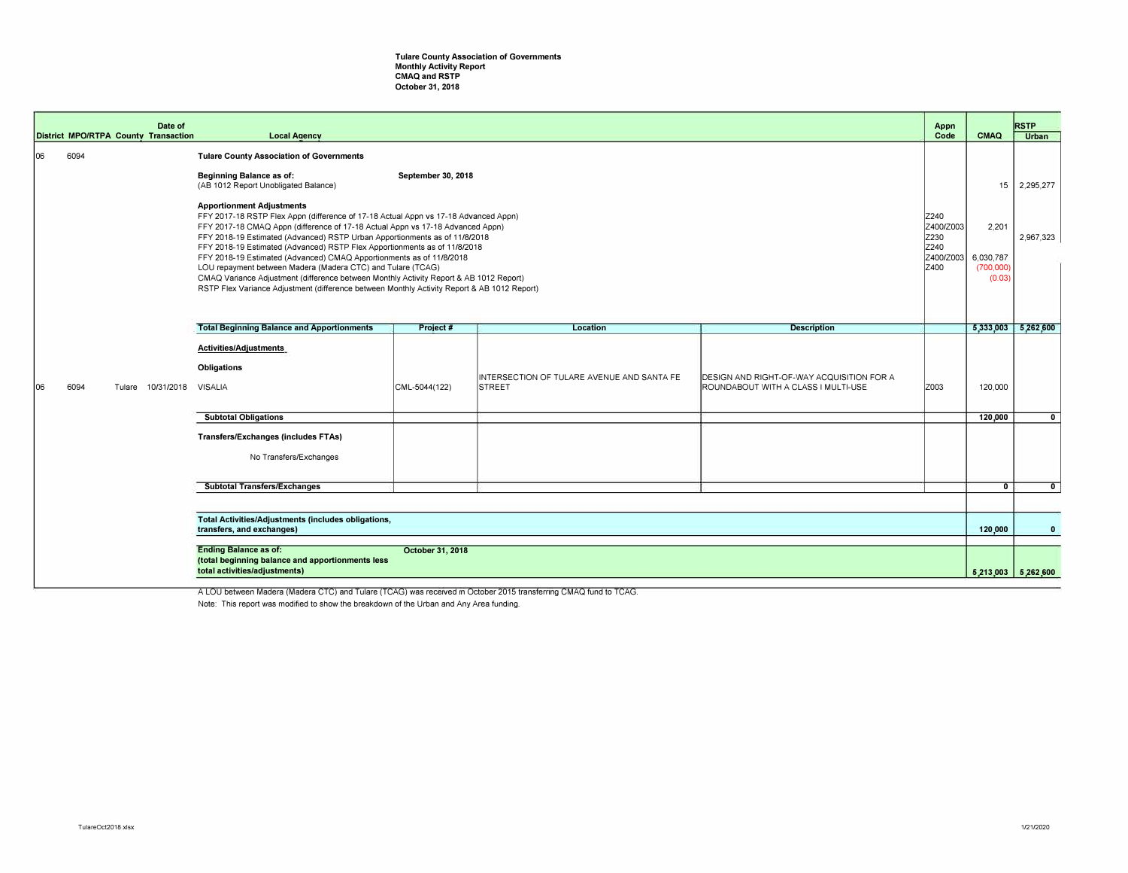## **Tulare County Association of Governments Monthly Activity Report CMAQ and RSTP October 31, 2018**

|     |                                                                                         | Date of                                                                                                                                                                                                                                                                                                                                                                                                                                                                                                                                                                                                                                                                                                                                                                                                                                                                                          | <b>Local Agency</b>                                                                                                                   |               |                                                             |                                                                                          | Appn<br>Code | CMAQ                                                                      | <b>RSTP</b><br><b>Urban</b> |
|-----|-----------------------------------------------------------------------------------------|--------------------------------------------------------------------------------------------------------------------------------------------------------------------------------------------------------------------------------------------------------------------------------------------------------------------------------------------------------------------------------------------------------------------------------------------------------------------------------------------------------------------------------------------------------------------------------------------------------------------------------------------------------------------------------------------------------------------------------------------------------------------------------------------------------------------------------------------------------------------------------------------------|---------------------------------------------------------------------------------------------------------------------------------------|---------------|-------------------------------------------------------------|------------------------------------------------------------------------------------------|--------------|---------------------------------------------------------------------------|-----------------------------|
| 106 | 6094                                                                                    | <b>District MPO/RTPA County Transaction</b><br><b>Tulare County Association of Governments</b><br>Beginning Balance as of:<br>September 30, 2018<br>(AB 1012 Report Unobligated Balance)<br><b>Apportionment Adjustments</b><br>FFY 2017-18 RSTP Flex Appn (difference of 17-18 Actual Appn vs 17-18 Advanced Appn)<br>FFY 2017-18 CMAQ Appn (difference of 17-18 Actual Appn vs 17-18 Advanced Appn)<br>FFY 2018-19 Estimated (Advanced) RSTP Urban Apportionments as of 11/8/2018<br>FFY 2018-19 Estimated (Advanced) RSTP Flex Apportionments as of 11/8/2018<br>FFY 2018-19 Estimated (Advanced) CMAQ Apportionments as of 11/8/2018<br>LOU repayment between Madera (Madera CTC) and Tulare (TCAG)<br>CMAQ Variance Adjustment (difference between Monthly Activity Report & AB 1012 Report)<br>RSTP Flex Variance Adjustment (difference between Monthly Activity Report & AB 1012 Report) |                                                                                                                                       |               |                                                             |                                                                                          |              | 15<br>Z400/Z003<br>2,201<br>Z400/Z003<br>6,030,787<br>(700,000)<br>(0.03) | 2,295,277<br>2,967,323      |
|     |                                                                                         |                                                                                                                                                                                                                                                                                                                                                                                                                                                                                                                                                                                                                                                                                                                                                                                                                                                                                                  |                                                                                                                                       |               |                                                             |                                                                                          |              |                                                                           |                             |
|     |                                                                                         |                                                                                                                                                                                                                                                                                                                                                                                                                                                                                                                                                                                                                                                                                                                                                                                                                                                                                                  | <b>Total Beginning Balance and Apportionments</b>                                                                                     | Project #     | Location                                                    | <b>Description</b>                                                                       |              |                                                                           | 5,333,003 5,262,600         |
| 106 | 6094                                                                                    | 10/31/2018<br>Tulare                                                                                                                                                                                                                                                                                                                                                                                                                                                                                                                                                                                                                                                                                                                                                                                                                                                                             | <b>Activities/Adjustments</b><br><b>Obligations</b><br>VISALIA                                                                        | CML-5044(122) | INTERSECTION OF TULARE AVENUE AND SANTA FE<br><b>STREET</b> | <b>IDESIGN AND RIGHT-OF-WAY ACQUISITION FOR A</b><br>ROUNDABOUT WITH A CLASS I MULTI-USE | IZ003        | 120,000                                                                   |                             |
|     |                                                                                         |                                                                                                                                                                                                                                                                                                                                                                                                                                                                                                                                                                                                                                                                                                                                                                                                                                                                                                  | <b>Subtotal Obligations</b>                                                                                                           |               |                                                             |                                                                                          |              | 120,000                                                                   | $\mathbf{0}$                |
|     |                                                                                         |                                                                                                                                                                                                                                                                                                                                                                                                                                                                                                                                                                                                                                                                                                                                                                                                                                                                                                  | <b>Transfers/Exchanges (includes FTAs)</b><br>No Transfers/Exchanges                                                                  |               |                                                             |                                                                                          |              |                                                                           |                             |
|     |                                                                                         |                                                                                                                                                                                                                                                                                                                                                                                                                                                                                                                                                                                                                                                                                                                                                                                                                                                                                                  | <b>Subtotal Transfers/Exchanges</b>                                                                                                   |               |                                                             |                                                                                          |              | $\overline{\mathbf{0}}$                                                   | $\overline{0}$              |
|     | <b>Total Activities/Adjustments (includes obligations,</b><br>transfers, and exchanges) |                                                                                                                                                                                                                                                                                                                                                                                                                                                                                                                                                                                                                                                                                                                                                                                                                                                                                                  |                                                                                                                                       |               |                                                             |                                                                                          |              |                                                                           |                             |
|     |                                                                                         |                                                                                                                                                                                                                                                                                                                                                                                                                                                                                                                                                                                                                                                                                                                                                                                                                                                                                                  |                                                                                                                                       |               |                                                             |                                                                                          |              | 120,000                                                                   | $\mathbf{0}$                |
|     |                                                                                         |                                                                                                                                                                                                                                                                                                                                                                                                                                                                                                                                                                                                                                                                                                                                                                                                                                                                                                  | <b>Ending Balance as of:</b><br>October 31, 2018<br>(total beginning balance and apportionments less<br>total activities/adjustments) |               |                                                             |                                                                                          |              | 5,213,003                                                                 | 5,262,600                   |

A LOU between Madera (Madera CTC) and Tulare (TCAG) was received in October 2015 transferring CMAQ fund to TCAG.

Note: This report was modified to show the breakdown of the Urban and Any Area funding.